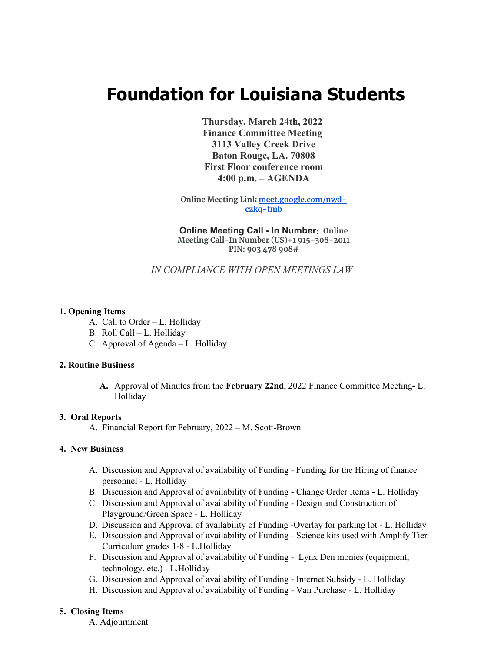# **Foundation for Louisiana Students**

**Thursday, March 24th, 2022 Finance Committee Meeting 3113 Valley Creek Drive Baton Rouge, LA. 70808 First Floor conference room 4:00 p.m. – AGENDA**

**Online Meeting Link meet.google.com/nwdczkq-tmb**

**Online Meeting Call - In Number: Online Meeting Call-In Number (US)+1 915-308-2011 PIN: 903 478 908#**

*IN COMPLIANCE WITH OPEN MEETINGS LAW*

## **1. Opening Items**

- A. Call to Order L. Holliday
- B. Roll Call L. Holliday
- C. Approval of Agenda L. Holliday

## **2. Routine Business**

**A.** Approval of Minutes from the **February 22nd**, 2022 Finance Committee Meeting**-** L. Holliday

## **3. Oral Reports**

A. Financial Report for February, 2022 – M. Scott-Brown

## **4. New Business**

- A. Discussion and Approval of availability of Funding Funding for the Hiring of finance personnel - L. Holliday
- B. Discussion and Approval of availability of Funding Change Order Items L. Holliday
- C. Discussion and Approval of availability of Funding Design and Construction of Playground/Green Space - L. Holliday
- D. Discussion and Approval of availability of Funding -Overlay for parking lot L. Holliday
- E. Discussion and Approval of availability of Funding Science kits used with Amplify Tier I Curriculum grades 1-8 - L.Holliday
- F. Discussion and Approval of availability of Funding Lynx Den monies (equipment, technology, etc.) - L.Holliday
- G. Discussion and Approval of availability of Funding Internet Subsidy L. Holliday
- H. Discussion and Approval of availability of Funding Van Purchase L. Holliday

## **5. Closing Items**

A. Adjournment